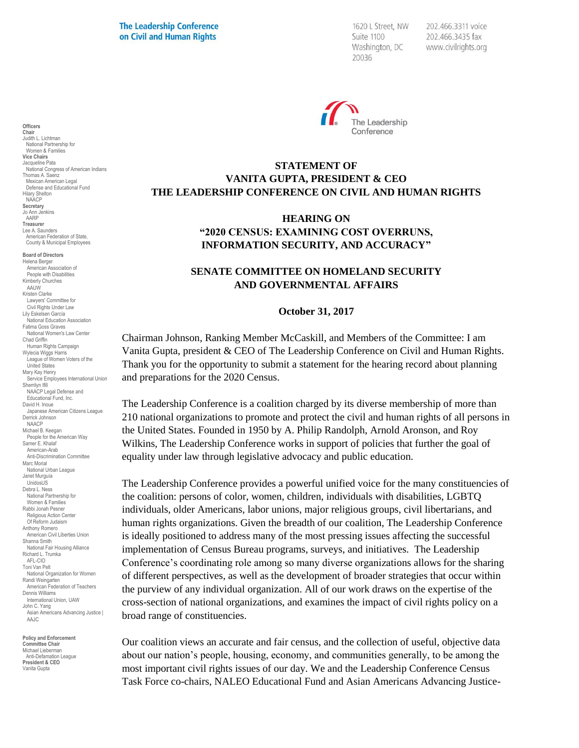1620 L Street, NW Suite 1100 Washington, DC 20036

202.466.3311 voice 202.466.3435 fax www.civilrights.org



# **STATEMENT OF VANITA GUPTA, PRESIDENT & CEO THE LEADERSHIP CONFERENCE ON CIVIL AND HUMAN RIGHTS**

## **HEARING ON "2020 CENSUS: EXAMINING COST OVERRUNS, INFORMATION SECURITY, AND ACCURACY"**

## **SENATE COMMITTEE ON HOMELAND SECURITY AND GOVERNMENTAL AFFAIRS**

#### **October 31, 2017**

Chairman Johnson, Ranking Member McCaskill, and Members of the Committee: I am Vanita Gupta, president & CEO of The Leadership Conference on Civil and Human Rights. Thank you for the opportunity to submit a statement for the hearing record about planning and preparations for the 2020 Census.

The Leadership Conference is a coalition charged by its diverse membership of more than 210 national organizations to promote and protect the civil and human rights of all persons in the United States. Founded in 1950 by A. Philip Randolph, Arnold Aronson, and Roy Wilkins, The Leadership Conference works in support of policies that further the goal of equality under law through legislative advocacy and public education.

The Leadership Conference provides a powerful unified voice for the many constituencies of the coalition: persons of color, women, children, individuals with disabilities, LGBTQ individuals, older Americans, labor unions, major religious groups, civil libertarians, and human rights organizations. Given the breadth of our coalition, The Leadership Conference is ideally positioned to address many of the most pressing issues affecting the successful implementation of Census Bureau programs, surveys, and initiatives. The Leadership Conference's coordinating role among so many diverse organizations allows for the sharing of different perspectives, as well as the development of broader strategies that occur within the purview of any individual organization. All of our work draws on the expertise of the cross-section of national organizations, and examines the impact of civil rights policy on a broad range of constituencies.

Our coalition views an accurate and fair census, and the collection of useful, objective data about our nation's people, housing, economy, and communities generally, to be among the most important civil rights issues of our day. We and the Leadership Conference Census Task Force co-chairs, NALEO Educational Fund and Asian Americans Advancing Justice-

Chair Judith L. Lichtman National Partnership for Women & Families Vice Chairs Jacqueline Pata National Congress of American Indians Thomas A. Saenz Mexican American Legal Defense and Educational Fund Hilary Shelton NAACP Secretary Jo Ann Jenkins AARP Treasurer Lee A. Saunders American Federation of State, County & Municipal Employees Board of Directors Helena Berger American Association of People with Disabilities Kimberly Churches AAUW Kristen Clarke Lawyers' Committee for Civil Rights Under Law Lily Eskelsen García National Education Association Fatima Goss Graves National Women's Law Center Chad Griffin Human Rights Campaign Wylecia Wiggs Harris League of Women Voters of the United States Mary Kay Henry Service Employees International Union Sherrilyn Ifill NAACP Legal Defense and Educational Fund, Inc. David H. Inoue Japanese American Citizens League Derrick Johnson **NAACP** Michael B. Keegan People for the American Way Samer E. Khalaf American-Arab Anti-Discrimination Committee Marc Morial National Urban League Janet Murguía UnidosUS Debra L. Ness National Partnership for Women & Families Rabbi Jonah Pesner Religious Action Center Of Reform Judaism Anthony Romero American Civil Liberties Union Shanna Smith National Fair Housing Alliance Richard L. Trumka AFL-CIO Toni Van Pelt National Organization for Women Randi Weingarten American Federation of Teachers Dennis Williams International Union, UAW John C. Yang Asian Americans Advancing Justice | AAJC

**Officers** 

Policy and Enforcement Committee Chair Michael Lieberman Anti-Defamation League President & CEO Vanita Gupta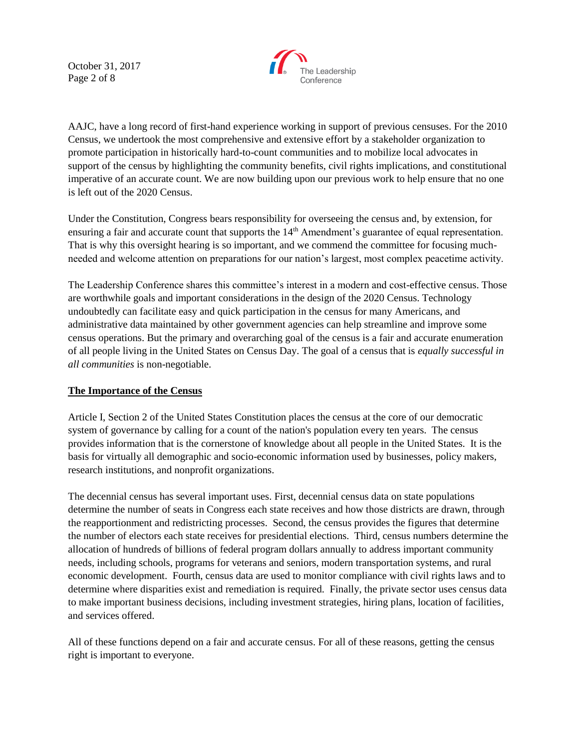October 31, 2017 Page 2 of 8



AAJC, have a long record of first-hand experience working in support of previous censuses. For the 2010 Census, we undertook the most comprehensive and extensive effort by a stakeholder organization to promote participation in historically hard-to-count communities and to mobilize local advocates in support of the census by highlighting the community benefits, civil rights implications, and constitutional imperative of an accurate count. We are now building upon our previous work to help ensure that no one is left out of the 2020 Census.

Under the Constitution, Congress bears responsibility for overseeing the census and, by extension, for ensuring a fair and accurate count that supports the  $14<sup>th</sup>$  Amendment's guarantee of equal representation. That is why this oversight hearing is so important, and we commend the committee for focusing muchneeded and welcome attention on preparations for our nation's largest, most complex peacetime activity.

The Leadership Conference shares this committee's interest in a modern and cost-effective census. Those are worthwhile goals and important considerations in the design of the 2020 Census. Technology undoubtedly can facilitate easy and quick participation in the census for many Americans, and administrative data maintained by other government agencies can help streamline and improve some census operations. But the primary and overarching goal of the census is a fair and accurate enumeration of all people living in the United States on Census Day. The goal of a census that is *equally successful in all communities* is non-negotiable.

### **The Importance of the Census**

Article I, Section 2 of the United States Constitution places the census at the core of our democratic system of governance by calling for a count of the nation's population every ten years. The census provides information that is the cornerstone of knowledge about all people in the United States. It is the basis for virtually all demographic and socio-economic information used by businesses, policy makers, research institutions, and nonprofit organizations.

The decennial census has several important uses. First, decennial census data on state populations determine the number of seats in Congress each state receives and how those districts are drawn, through the reapportionment and redistricting processes. Second, the census provides the figures that determine the number of electors each state receives for presidential elections. Third, census numbers determine the allocation of hundreds of billions of federal program dollars annually to address important community needs, including schools, programs for veterans and seniors, modern transportation systems, and rural economic development. Fourth, census data are used to monitor compliance with civil rights laws and to determine where disparities exist and remediation is required. Finally, the private sector uses census data to make important business decisions, including investment strategies, hiring plans, location of facilities, and services offered.

All of these functions depend on a fair and accurate census. For all of these reasons, getting the census right is important to everyone.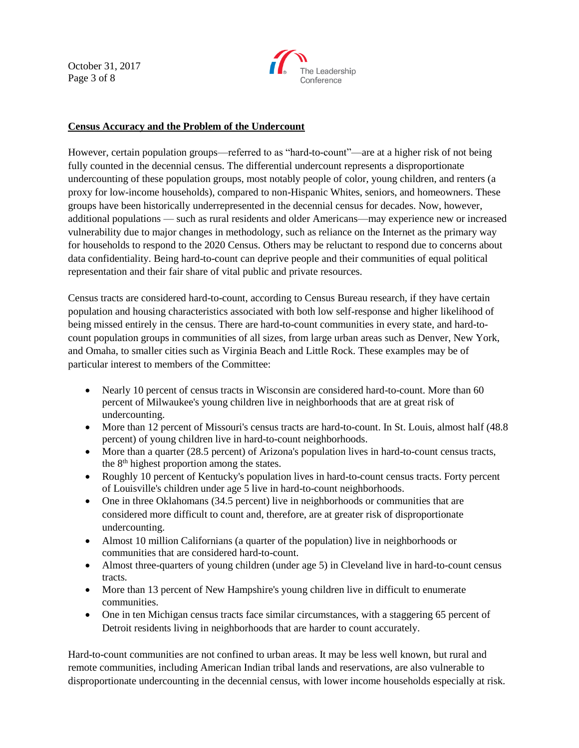October 31, 2017 Page 3 of 8



## **Census Accuracy and the Problem of the Undercount**

However, certain population groups—referred to as "hard-to-count"—are at a higher risk of not being fully counted in the decennial census. The differential undercount represents a disproportionate undercounting of these population groups, most notably people of color, young children, and renters (a proxy for low-income households), compared to non-Hispanic Whites, seniors, and homeowners. These groups have been historically underrepresented in the decennial census for decades. Now, however, additional populations — such as rural residents and older Americans—may experience new or increased vulnerability due to major changes in methodology, such as reliance on the Internet as the primary way for households to respond to the 2020 Census. Others may be reluctant to respond due to concerns about data confidentiality. Being hard-to-count can deprive people and their communities of equal political representation and their fair share of vital public and private resources.

Census tracts are considered hard-to-count, according to Census Bureau research, if they have certain population and housing characteristics associated with both low self-response and higher likelihood of being missed entirely in the census. There are hard-to-count communities in every state, and hard-tocount population groups in communities of all sizes, from large urban areas such as Denver, New York, and Omaha, to smaller cities such as Virginia Beach and Little Rock. These examples may be of particular interest to members of the Committee:

- Nearly 10 percent of census tracts in Wisconsin are considered hard-to-count. More than 60 percent of Milwaukee's young children live in neighborhoods that are at great risk of undercounting.
- More than 12 percent of Missouri's census tracts are hard-to-count. In St. Louis, almost half (48.8) percent) of young children live in hard-to-count neighborhoods.
- More than a quarter (28.5 percent) of Arizona's population lives in hard-to-count census tracts, the 8th highest proportion among the states.
- Roughly 10 percent of Kentucky's population lives in hard-to-count census tracts. Forty percent of Louisville's children under age 5 live in hard-to-count neighborhoods.
- One in three Oklahomans (34.5 percent) live in neighborhoods or communities that are considered more difficult to count and, therefore, are at greater risk of disproportionate undercounting.
- Almost 10 million Californians (a quarter of the population) live in neighborhoods or communities that are considered hard-to-count.
- Almost three-quarters of young children (under age 5) in Cleveland live in hard-to-count census tracts.
- More than 13 percent of New Hampshire's young children live in difficult to enumerate communities.
- One in ten Michigan census tracts face similar circumstances, with a staggering 65 percent of Detroit residents living in neighborhoods that are harder to count accurately.

Hard-to-count communities are not confined to urban areas. It may be less well known, but rural and remote communities, including American Indian tribal lands and reservations, are also vulnerable to disproportionate undercounting in the decennial census, with lower income households especially at risk.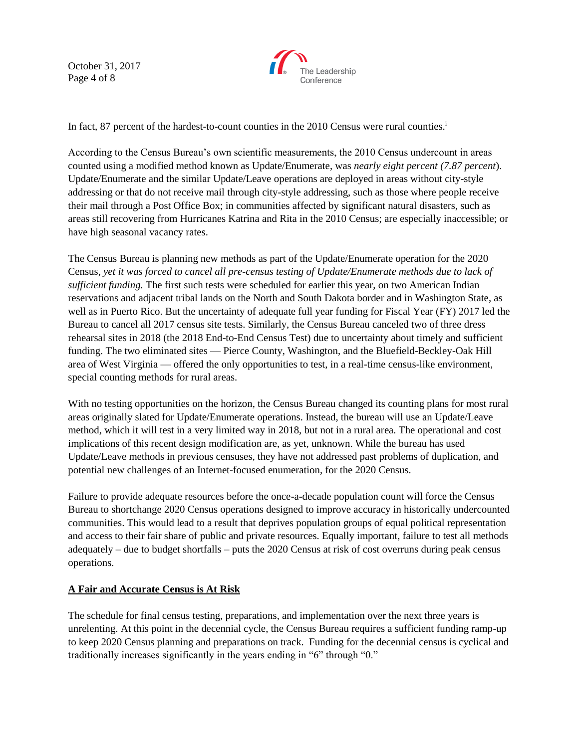October 31, 2017 Page 4 of 8



In fact, 87 percent of the hardest-to-count counties in the 2010 Census were rural counties.<sup>i</sup>

According to the Census Bureau's own scientific measurements, the 2010 Census undercount in areas counted using a modified method known as Update/Enumerate, was *nearly eight percent (7.87 percent*). Update/Enumerate and the similar Update/Leave operations are deployed in areas without city-style addressing or that do not receive mail through city-style addressing, such as those where people receive their mail through a Post Office Box; in communities affected by significant natural disasters, such as areas still recovering from Hurricanes Katrina and Rita in the 2010 Census; are especially inaccessible; or have high seasonal vacancy rates.

The Census Bureau is planning new methods as part of the Update/Enumerate operation for the 2020 Census, *yet it was forced to cancel all pre-census testing of Update/Enumerate methods due to lack of sufficient funding.* The first such tests were scheduled for earlier this year, on two American Indian reservations and adjacent tribal lands on the North and South Dakota border and in Washington State, as well as in Puerto Rico. But the uncertainty of adequate full year funding for Fiscal Year (FY) 2017 led the Bureau to cancel all 2017 census site tests. Similarly, the Census Bureau canceled two of three dress rehearsal sites in 2018 (the 2018 End-to-End Census Test) due to uncertainty about timely and sufficient funding. The two eliminated sites — Pierce County, Washington, and the Bluefield-Beckley-Oak Hill area of West Virginia — offered the only opportunities to test, in a real-time census-like environment, special counting methods for rural areas.

With no testing opportunities on the horizon, the Census Bureau changed its counting plans for most rural areas originally slated for Update/Enumerate operations. Instead, the bureau will use an Update/Leave method, which it will test in a very limited way in 2018, but not in a rural area. The operational and cost implications of this recent design modification are, as yet, unknown. While the bureau has used Update/Leave methods in previous censuses, they have not addressed past problems of duplication, and potential new challenges of an Internet-focused enumeration, for the 2020 Census.

Failure to provide adequate resources before the once-a-decade population count will force the Census Bureau to shortchange 2020 Census operations designed to improve accuracy in historically undercounted communities. This would lead to a result that deprives population groups of equal political representation and access to their fair share of public and private resources. Equally important, failure to test all methods adequately – due to budget shortfalls – puts the 2020 Census at risk of cost overruns during peak census operations.

# **A Fair and Accurate Census is At Risk**

The schedule for final census testing, preparations, and implementation over the next three years is unrelenting. At this point in the decennial cycle, the Census Bureau requires a sufficient funding ramp-up to keep 2020 Census planning and preparations on track. Funding for the decennial census is cyclical and traditionally increases significantly in the years ending in "6" through "0."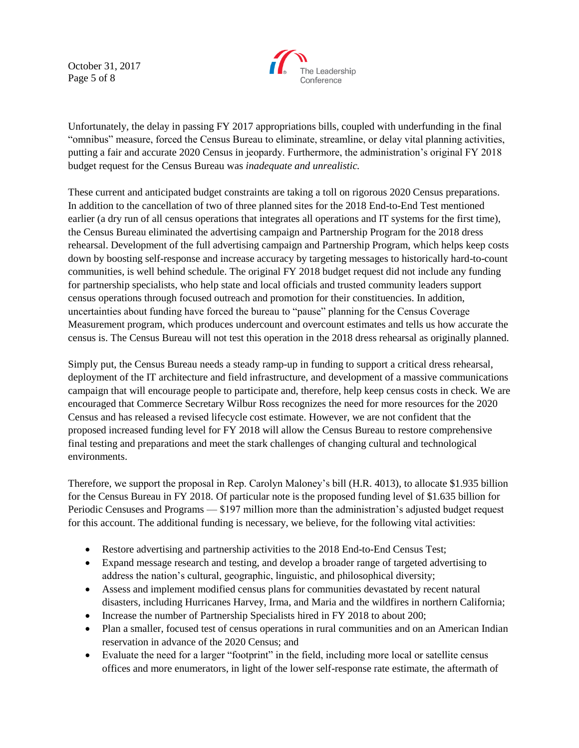October 31, 2017 Page 5 of 8



Unfortunately, the delay in passing FY 2017 appropriations bills, coupled with underfunding in the final "omnibus" measure, forced the Census Bureau to eliminate, streamline, or delay vital planning activities, putting a fair and accurate 2020 Census in jeopardy. Furthermore, the administration's original FY 2018 budget request for the Census Bureau was *inadequate and unrealistic.* 

These current and anticipated budget constraints are taking a toll on rigorous 2020 Census preparations. In addition to the cancellation of two of three planned sites for the 2018 End-to-End Test mentioned earlier (a dry run of all census operations that integrates all operations and IT systems for the first time), the Census Bureau eliminated the advertising campaign and Partnership Program for the 2018 dress rehearsal. Development of the full advertising campaign and Partnership Program, which helps keep costs down by boosting self-response and increase accuracy by targeting messages to historically hard-to-count communities, is well behind schedule. The original FY 2018 budget request did not include any funding for partnership specialists, who help state and local officials and trusted community leaders support census operations through focused outreach and promotion for their constituencies. In addition, uncertainties about funding have forced the bureau to "pause" planning for the Census Coverage Measurement program, which produces undercount and overcount estimates and tells us how accurate the census is. The Census Bureau will not test this operation in the 2018 dress rehearsal as originally planned.

Simply put, the Census Bureau needs a steady ramp-up in funding to support a critical dress rehearsal, deployment of the IT architecture and field infrastructure, and development of a massive communications campaign that will encourage people to participate and, therefore, help keep census costs in check. We are encouraged that Commerce Secretary Wilbur Ross recognizes the need for more resources for the 2020 Census and has released a revised lifecycle cost estimate. However, we are not confident that the proposed increased funding level for FY 2018 will allow the Census Bureau to restore comprehensive final testing and preparations and meet the stark challenges of changing cultural and technological environments.

Therefore, we support the proposal in Rep. Carolyn Maloney's bill (H.R. 4013), to allocate \$1.935 billion for the Census Bureau in FY 2018. Of particular note is the proposed funding level of \$1.635 billion for Periodic Censuses and Programs — \$197 million more than the administration's adjusted budget request for this account. The additional funding is necessary, we believe, for the following vital activities:

- Restore advertising and partnership activities to the 2018 End-to-End Census Test;
- Expand message research and testing, and develop a broader range of targeted advertising to address the nation's cultural, geographic, linguistic, and philosophical diversity;
- Assess and implement modified census plans for communities devastated by recent natural disasters, including Hurricanes Harvey, Irma, and Maria and the wildfires in northern California;
- Increase the number of Partnership Specialists hired in FY 2018 to about 200;
- Plan a smaller, focused test of census operations in rural communities and on an American Indian reservation in advance of the 2020 Census; and
- Evaluate the need for a larger "footprint" in the field, including more local or satellite census offices and more enumerators, in light of the lower self-response rate estimate, the aftermath of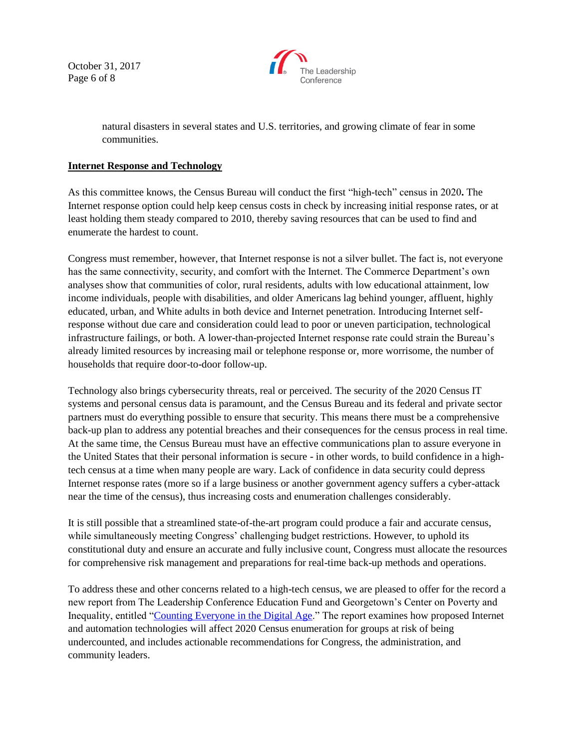October 31, 2017 Page 6 of 8



natural disasters in several states and U.S. territories, and growing climate of fear in some communities.

### **Internet Response and Technology**

As this committee knows, the Census Bureau will conduct the first "high-tech" census in 2020**.** The Internet response option could help keep census costs in check by increasing initial response rates, or at least holding them steady compared to 2010, thereby saving resources that can be used to find and enumerate the hardest to count.

Congress must remember, however, that Internet response is not a silver bullet. The fact is, not everyone has the same connectivity, security, and comfort with the Internet. The Commerce Department's own analyses show that communities of color, rural residents, adults with low educational attainment, low income individuals, people with disabilities, and older Americans lag behind younger, affluent, highly educated, urban, and White adults in both device and Internet penetration. Introducing Internet selfresponse without due care and consideration could lead to poor or uneven participation, technological infrastructure failings, or both. A lower-than-projected Internet response rate could strain the Bureau's already limited resources by increasing mail or telephone response or, more worrisome, the number of households that require door-to-door follow-up.

Technology also brings cybersecurity threats, real or perceived. The security of the 2020 Census IT systems and personal census data is paramount, and the Census Bureau and its federal and private sector partners must do everything possible to ensure that security. This means there must be a comprehensive back-up plan to address any potential breaches and their consequences for the census process in real time. At the same time, the Census Bureau must have an effective communications plan to assure everyone in the United States that their personal information is secure - in other words, to build confidence in a hightech census at a time when many people are wary. Lack of confidence in data security could depress Internet response rates (more so if a large business or another government agency suffers a cyber-attack near the time of the census), thus increasing costs and enumeration challenges considerably.

It is still possible that a streamlined state-of-the-art program could produce a fair and accurate census, while simultaneously meeting Congress' challenging budget restrictions. However, to uphold its constitutional duty and ensure an accurate and fully inclusive count, Congress must allocate the resources for comprehensive risk management and preparations for real-time back-up methods and operations.

To address these and other concerns related to a high-tech census, we are pleased to offer for the record a new report from The Leadership Conference Education Fund and Georgetown's Center on Poverty and Inequality, entitled ["Counting Everyone in the Digital Age.](http://www.civilrightsdocs.info/pdf/reports/Counting-Everyone-in-the-Digital-Age.pdf)" The report examines how proposed Internet and automation technologies will affect 2020 Census enumeration for groups at risk of being undercounted, and includes actionable recommendations for Congress, the administration, and community leaders.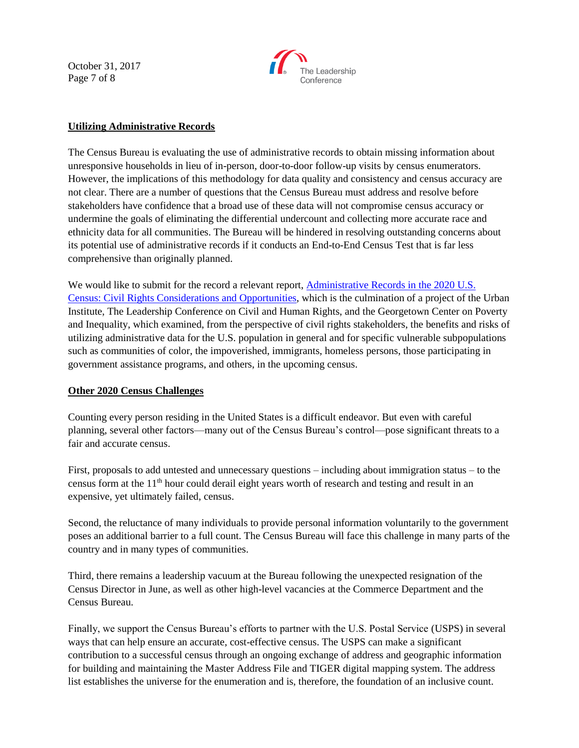October 31, 2017 Page 7 of 8



### **Utilizing Administrative Records**

The Census Bureau is evaluating the use of administrative records to obtain missing information about unresponsive households in lieu of in-person, door-to-door follow-up visits by census enumerators. However, the implications of this methodology for data quality and consistency and census accuracy are not clear. There are a number of questions that the Census Bureau must address and resolve before stakeholders have confidence that a broad use of these data will not compromise census accuracy or undermine the goals of eliminating the differential undercount and collecting more accurate race and ethnicity data for all communities. The Bureau will be hindered in resolving outstanding concerns about its potential use of administrative records if it conducts an End-to-End Census Test that is far less comprehensive than originally planned.

We would like to submit for the record a relevant report, Administrative Records in the 2020 U.S. [Census: Civil Rights Considerations and Opportunities,](http://www.urban.org/sites/default/files/publication/90446/census_ar_report.pdf) which is the culmination of a project of the Urban Institute, The Leadership Conference on Civil and Human Rights, and the Georgetown Center on Poverty and Inequality, which examined, from the perspective of civil rights stakeholders, the benefits and risks of utilizing administrative data for the U.S. population in general and for specific vulnerable subpopulations such as communities of color, the impoverished, immigrants, homeless persons, those participating in government assistance programs, and others, in the upcoming census.

### **Other 2020 Census Challenges**

Counting every person residing in the United States is a difficult endeavor. But even with careful planning, several other factors—many out of the Census Bureau's control—pose significant threats to a fair and accurate census.

First, proposals to add untested and unnecessary questions – including about immigration status – to the census form at the 11th hour could derail eight years worth of research and testing and result in an expensive, yet ultimately failed, census.

Second, the reluctance of many individuals to provide personal information voluntarily to the government poses an additional barrier to a full count. The Census Bureau will face this challenge in many parts of the country and in many types of communities.

Third, there remains a leadership vacuum at the Bureau following the unexpected resignation of the Census Director in June, as well as other high-level vacancies at the Commerce Department and the Census Bureau.

Finally, we support the Census Bureau's efforts to partner with the U.S. Postal Service (USPS) in several ways that can help ensure an accurate, cost-effective census. The USPS can make a significant contribution to a successful census through an ongoing exchange of address and geographic information for building and maintaining the Master Address File and TIGER digital mapping system. The address list establishes the universe for the enumeration and is, therefore, the foundation of an inclusive count.